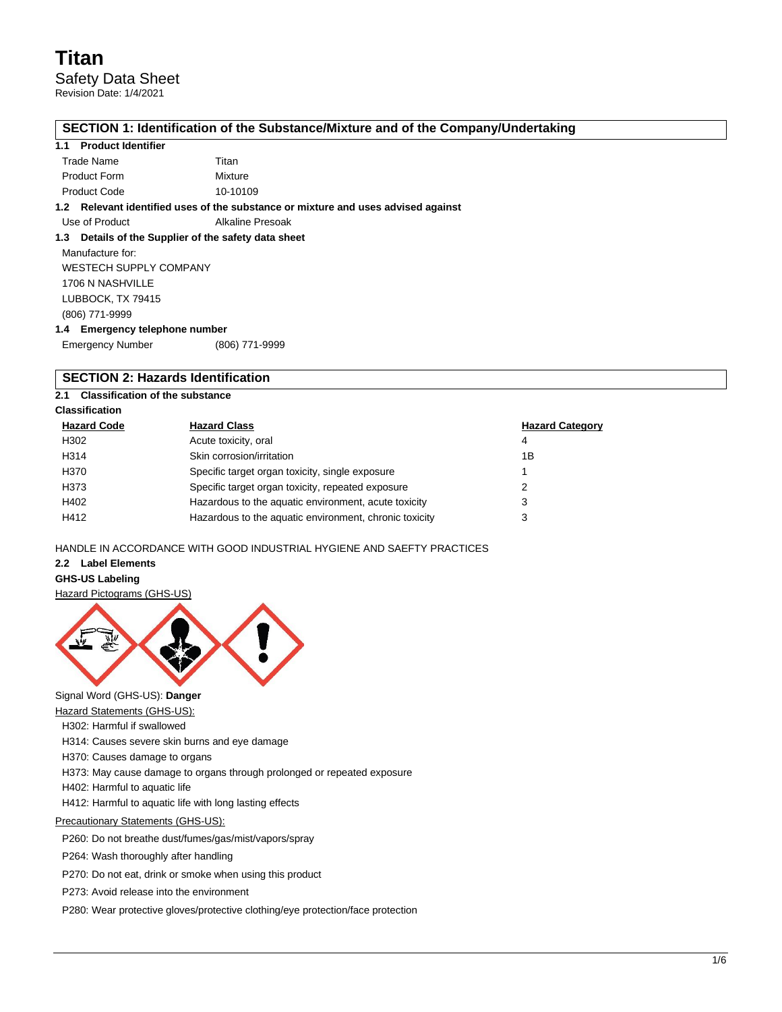Revision Date: 1/4/2021

## **SECTION 1: Identification of the Substance/Mixture and of the Company/Undertaking**

#### **1.1 Product Identifier**

| Trade Name          | Titan    |
|---------------------|----------|
| <b>Product Form</b> | Mixture  |
| <b>Product Code</b> | 10-10109 |

**1.2 Relevant identified uses of the substance or mixture and uses advised against**

Use of Product **Alkaline Presoak** 

### **1.3 Details of the Supplier of the safety data sheet**

Manufacture for: WESTECH SUPPLY COMPANY 1706 N NASHVILLE LUBBOCK, TX 79415 (806) 771-9999 **1.4 Emergency telephone number**

| Emergency Number | (806) 771-9999 |
|------------------|----------------|

## **SECTION 2: Hazards Identification**

#### **2.1 Classification of the substance Classification**

| <b>Hazard Code</b> | <b>Hazard Class</b>                                    | <b>Hazard Category</b> |
|--------------------|--------------------------------------------------------|------------------------|
| H302               | Acute toxicity, oral                                   | 4                      |
| H314               | Skin corrosion/irritation                              | 1B                     |
| H370               | Specific target organ toxicity, single exposure        |                        |
| H373               | Specific target organ toxicity, repeated exposure      | 2                      |
| H402               | Hazardous to the aquatic environment, acute toxicity   | 3                      |
| H412               | Hazardous to the aquatic environment, chronic toxicity | 3                      |

HANDLE IN ACCORDANCE WITH GOOD INDUSTRIAL HYGIENE AND SAEFTY PRACTICES

## **2.2 Label Elements**

## **GHS-US Labeling**

Hazard Pictograms (GHS-US)



Signal Word (GHS-US): **Danger**

- **Hazard Statements (GHS-US):**
- H302: Harmful if swallowed

H314: Causes severe skin burns and eye damage

H370: Causes damage to organs

H373: May cause damage to organs through prolonged or repeated exposure

- H402: Harmful to aquatic life
- H412: Harmful to aquatic life with long lasting effects

Precautionary Statements (GHS-US):

P260: Do not breathe dust/fumes/gas/mist/vapors/spray

P264: Wash thoroughly after handling

P270: Do not eat, drink or smoke when using this product

P273: Avoid release into the environment

P280: Wear protective gloves/protective clothing/eye protection/face protection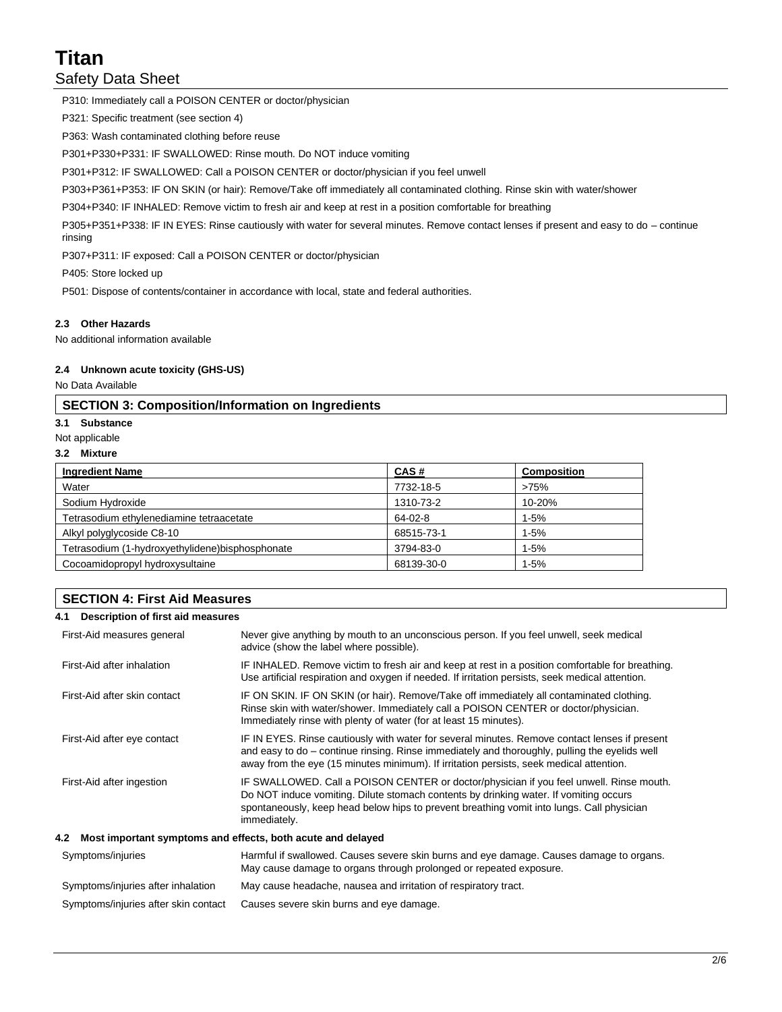P310: Immediately call a POISON CENTER or doctor/physician

P321: Specific treatment (see section 4)

P363: Wash contaminated clothing before reuse

P301+P330+P331: IF SWALLOWED: Rinse mouth. Do NOT induce vomiting

P301+P312: IF SWALLOWED: Call a POISON CENTER or doctor/physician if you feel unwell

P303+P361+P353: IF ON SKIN (or hair): Remove/Take off immediately all contaminated clothing. Rinse skin with water/shower

P304+P340: IF INHALED: Remove victim to fresh air and keep at rest in a position comfortable for breathing

P305+P351+P338: IF IN EYES: Rinse cautiously with water for several minutes. Remove contact lenses if present and easy to do – continue rinsing

P307+P311: IF exposed: Call a POISON CENTER or doctor/physician

P405: Store locked up

P501: Dispose of contents/container in accordance with local, state and federal authorities.

#### **2.3 Other Hazards**

No additional information available

#### **2.4 Unknown acute toxicity (GHS-US)**

No Data Available

## **SECTION 3: Composition/Information on Ingredients**

#### **3.1 Substance**

Not applicable

#### **3.2 Mixture**

| <b>Ingredient Name</b>                           | CAS#       | <b>Composition</b> |
|--------------------------------------------------|------------|--------------------|
| Water                                            | 7732-18-5  | >75%               |
| Sodium Hydroxide                                 | 1310-73-2  | 10-20%             |
| Tetrasodium ethylenediamine tetraacetate         | 64-02-8    | $1 - 5%$           |
| Alkyl polyglycoside C8-10                        | 68515-73-1 | 1-5%               |
| Tetrasodium (1-hydroxyethylidene) bisphosphonate | 3794-83-0  | $1 - 5%$           |
| Cocoamidopropyl hydroxysultaine                  | 68139-30-0 | $1 - 5%$           |

## **SECTION 4: First Aid Measures**

#### **4.1 Description of first aid measures**

| First-Aid measures general                                         | Never give anything by mouth to an unconscious person. If you feel unwell, seek medical<br>advice (show the label where possible).                                                                                                                                                            |  |  |
|--------------------------------------------------------------------|-----------------------------------------------------------------------------------------------------------------------------------------------------------------------------------------------------------------------------------------------------------------------------------------------|--|--|
| First-Aid after inhalation                                         | IF INHALED. Remove victim to fresh air and keep at rest in a position comfortable for breathing.<br>Use artificial respiration and oxygen if needed. If irritation persists, seek medical attention.                                                                                          |  |  |
| First-Aid after skin contact                                       | IF ON SKIN. IF ON SKIN (or hair). Remove/Take off immediately all contaminated clothing.<br>Rinse skin with water/shower. Immediately call a POISON CENTER or doctor/physician.<br>Immediately rinse with plenty of water (for at least 15 minutes).                                          |  |  |
| First-Aid after eye contact                                        | IF IN EYES. Rinse cautiously with water for several minutes. Remove contact lenses if present<br>and easy to do - continue rinsing. Rinse immediately and thoroughly, pulling the eyelids well<br>away from the eye (15 minutes minimum). If irritation persists, seek medical attention.     |  |  |
| First-Aid after ingestion                                          | IF SWALLOWED. Call a POISON CENTER or doctor/physician if you feel unwell. Rinse mouth.<br>Do NOT induce vomiting. Dilute stomach contents by drinking water. If vomiting occurs<br>spontaneously, keep head below hips to prevent breathing vomit into lungs. Call physician<br>immediately. |  |  |
| Most important symptoms and effects, both acute and delayed<br>4.2 |                                                                                                                                                                                                                                                                                               |  |  |
| Symptoms/injuries                                                  | Harmful if swallowed. Causes severe skin burns and eye damage. Causes damage to organs.<br>May cause damage to organs through prolonged or repeated exposure.                                                                                                                                 |  |  |
| Symptoms/injuries after inhalation                                 | May cause headache, nausea and irritation of respiratory tract.                                                                                                                                                                                                                               |  |  |
| Symptoms/injuries after skin contact                               | Causes severe skin burns and eye damage.                                                                                                                                                                                                                                                      |  |  |
|                                                                    |                                                                                                                                                                                                                                                                                               |  |  |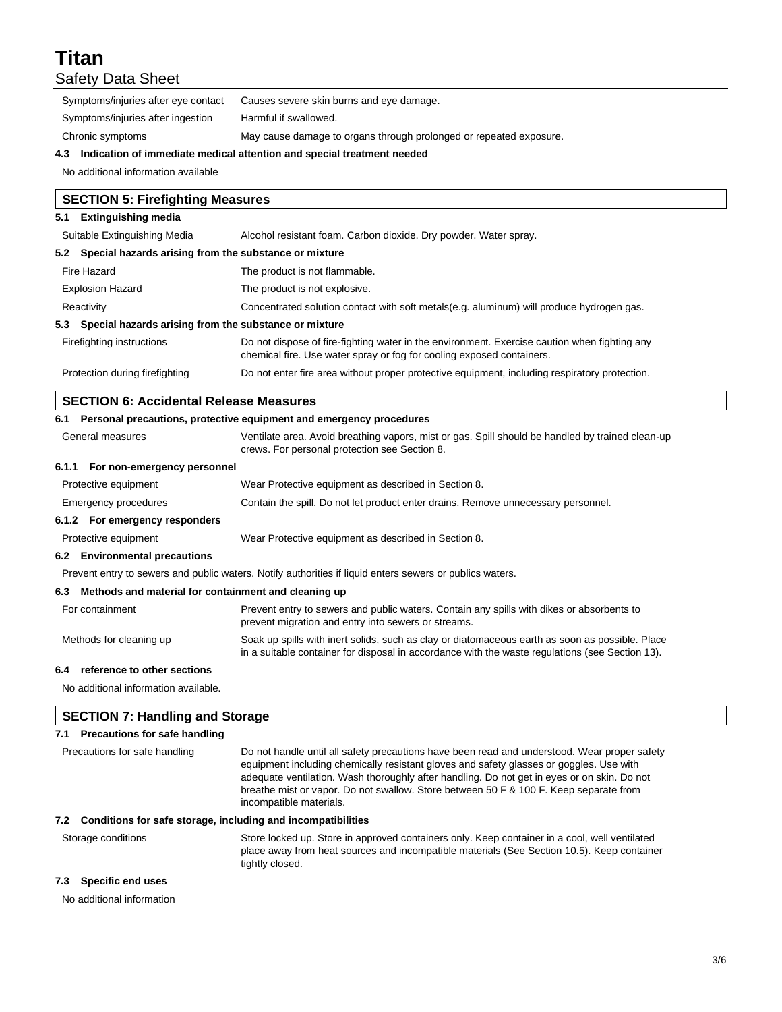Symptoms/injuries after eye contact Causes severe skin burns and eye damage. Symptoms/injuries after ingestion Harmful if swallowed. Chronic symptoms **May cause damage to organs through prolonged or repeated exposure.** 

#### **4.3 Indication of immediate medical attention and special treatment needed**

No additional information available

### **SECTION 5: Firefighting Measures**

## **5.1 Extinguishing media**

| Suitable Extinguishing Media                              | Alcohol resistant foam. Carbon dioxide. Dry powder. Water spray.                                                                                                      |  |  |
|-----------------------------------------------------------|-----------------------------------------------------------------------------------------------------------------------------------------------------------------------|--|--|
| 5.2 Special hazards arising from the substance or mixture |                                                                                                                                                                       |  |  |
| Fire Hazard                                               | The product is not flammable.                                                                                                                                         |  |  |
| <b>Explosion Hazard</b>                                   | The product is not explosive.                                                                                                                                         |  |  |
| Reactivity                                                | Concentrated solution contact with soft metals(e.g. aluminum) will produce hydrogen gas.                                                                              |  |  |
| 5.3 Special hazards arising from the substance or mixture |                                                                                                                                                                       |  |  |
| Firefighting instructions                                 | Do not dispose of fire-fighting water in the environment. Exercise caution when fighting any<br>chemical fire. Use water spray or fog for cooling exposed containers. |  |  |
| Protection during firefighting                            | Do not enter fire area without proper protective equipment, including respiratory protection.                                                                         |  |  |

## **SECTION 6: Accidental Release Measures**

| 6.1 Personal precautions, protective equipment and emergency procedures |                                                                                                                                                                                                    |  |  |
|-------------------------------------------------------------------------|----------------------------------------------------------------------------------------------------------------------------------------------------------------------------------------------------|--|--|
| General measures                                                        | Ventilate area. Avoid breathing vapors, mist or gas. Spill should be handled by trained clean-up<br>crews. For personal protection see Section 8.                                                  |  |  |
| For non-emergency personnel<br>6.1.1                                    |                                                                                                                                                                                                    |  |  |
| Protective equipment                                                    | Wear Protective equipment as described in Section 8.                                                                                                                                               |  |  |
| Emergency procedures                                                    | Contain the spill. Do not let product enter drains. Remove unnecessary personnel.                                                                                                                  |  |  |
| 6.1.2 For emergency responders                                          |                                                                                                                                                                                                    |  |  |
| Protective equipment                                                    | Wear Protective equipment as described in Section 8.                                                                                                                                               |  |  |
| 6.2 Environmental precautions                                           |                                                                                                                                                                                                    |  |  |
|                                                                         | Prevent entry to sewers and public waters. Notify authorities if liquid enters sewers or publics waters.                                                                                           |  |  |
| 6.3 Methods and material for containment and cleaning up                |                                                                                                                                                                                                    |  |  |
| For containment                                                         | Prevent entry to sewers and public waters. Contain any spills with dikes or absorbents to<br>prevent migration and entry into sewers or streams.                                                   |  |  |
| Methods for cleaning up                                                 | Soak up spills with inert solids, such as clay or diatomaceous earth as soon as possible. Place<br>in a suitable container for disposal in accordance with the waste regulations (see Section 13). |  |  |
| 6.4 reference to other sections                                         |                                                                                                                                                                                                    |  |  |

No additional information available.

## **SECTION 7: Handling and Storage 7.1 Precautions for safe handling** Precautions for safe handling Do not handle until all safety precautions have been read and understood. Wear proper safety equipment including chemically resistant gloves and safety glasses or goggles. Use with adequate ventilation. Wash thoroughly after handling. Do not get in eyes or on skin. Do not breathe mist or vapor. Do not swallow. Store between 50 F & 100 F. Keep separate from incompatible materials. **7.2 Conditions for safe storage, including and incompatibilities** Storage conditions Store locked up. Store in approved containers only. Keep container in a cool, well ventilated place away from heat sources and incompatible materials (See Section 10.5). Keep container tightly closed.

#### **7.3 Specific end uses**

No additional information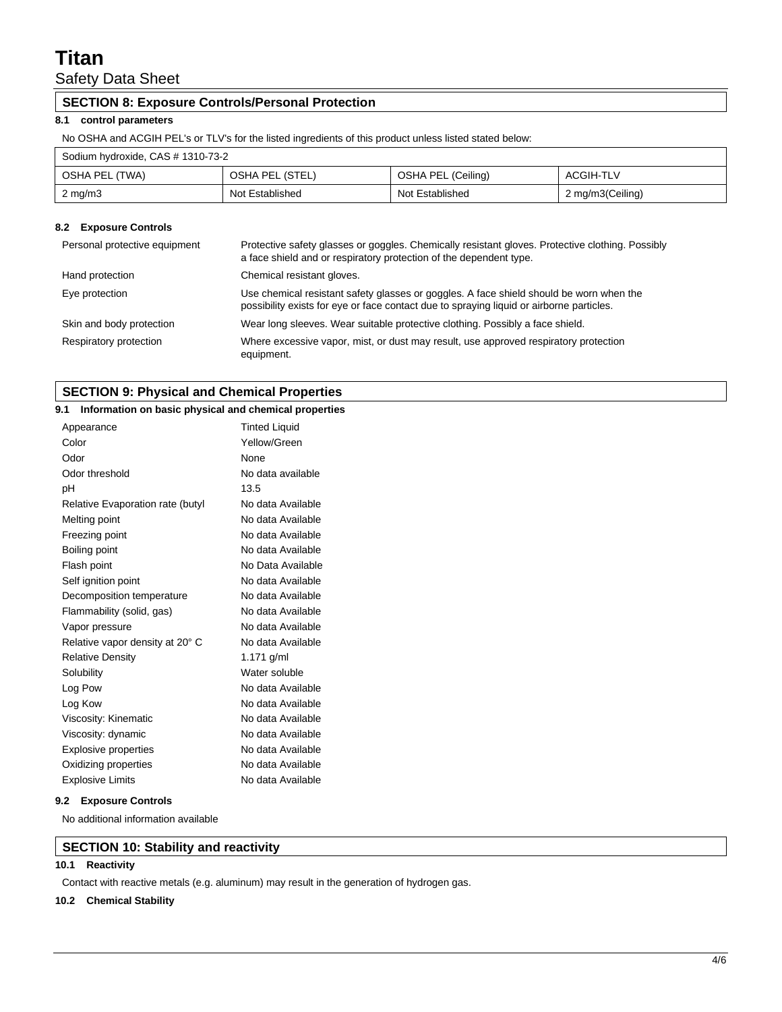## **SECTION 8: Exposure Controls/Personal Protection**

## **8.1 control parameters**

No OSHA and ACGIH PEL's or TLV's for the listed ingredients of this product unless listed stated below:

## Sodium hydroxide, CAS # 1310-73-2

| OSHA PEL (TWA) | OSHA PEL (STEL) | OSHA PEL (Ceiling) | <b>ACGIH-TLV</b> |
|----------------|-----------------|--------------------|------------------|
| 2 mg/m3        | Not Established | Not Established    | 2 mg/m3(Ceiling) |

## **8.2 Exposure Controls**

| Personal protective equipment | Protective safety glasses or goggles. Chemically resistant gloves. Protective clothing. Possibly<br>a face shield and or respiratory protection of the dependent type.              |
|-------------------------------|-------------------------------------------------------------------------------------------------------------------------------------------------------------------------------------|
| Hand protection               | Chemical resistant gloves.                                                                                                                                                          |
| Eye protection                | Use chemical resistant safety glasses or goggles. A face shield should be worn when the<br>possibility exists for eye or face contact due to spraying liquid or airborne particles. |
| Skin and body protection      | Wear long sleeves. Wear suitable protective clothing. Possibly a face shield.                                                                                                       |
| Respiratory protection        | Where excessive vapor, mist, or dust may result, use approved respiratory protection<br>equipment.                                                                                  |

## **SECTION 9: Physical and Chemical Properties**

## **9.1 Information on basic physical and chemical properties**

| 9.1 Information on basic physical and chemical properties |                      |
|-----------------------------------------------------------|----------------------|
| Appearance                                                | <b>Tinted Liquid</b> |
| Color                                                     | Yellow/Green         |
| Odor                                                      | None                 |
| Odor threshold                                            | No data available    |
| pH                                                        | 13.5                 |
| Relative Evaporation rate (butyl                          | No data Available    |
| Melting point                                             | No data Available    |
| Freezing point                                            | No data Available    |
| Boiling point                                             | No data Available    |
| Flash point                                               | No Data Available    |
| Self ignition point                                       | No data Available    |
| Decomposition temperature                                 | No data Available    |
| Flammability (solid, gas)                                 | No data Available    |
| Vapor pressure                                            | No data Available    |
| Relative vapor density at 20° C                           | No data Available    |
| <b>Relative Density</b>                                   | 1.171 $q/ml$         |
| Solubility                                                | Water soluble        |
| Log Pow                                                   | No data Available    |
| Log Kow                                                   | No data Available    |
| Viscosity: Kinematic                                      | No data Available    |
| Viscosity: dynamic                                        | No data Available    |
| <b>Explosive properties</b>                               | No data Available    |
| Oxidizing properties                                      | No data Available    |
| <b>Explosive Limits</b>                                   | No data Available    |

## **9.2 Exposure Controls**

No additional information available

## **SECTION 10: Stability and reactivity**

## **10.1 Reactivity**

Contact with reactive metals (e.g. aluminum) may result in the generation of hydrogen gas.

## **10.2 Chemical Stability**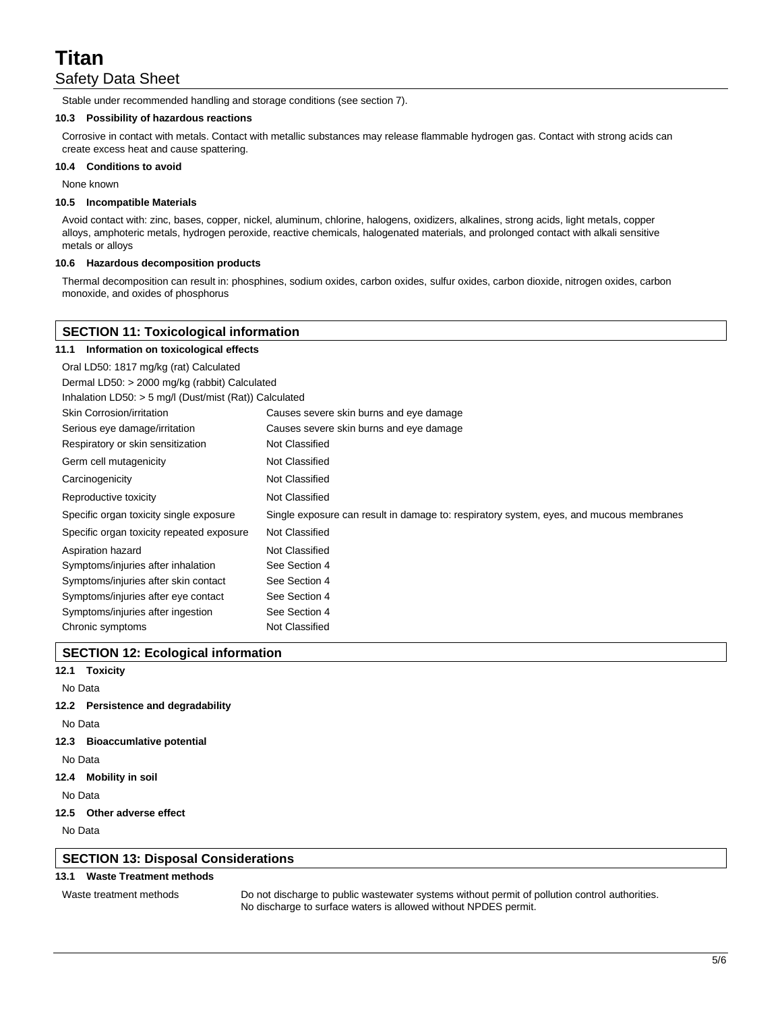Stable under recommended handling and storage conditions (see section 7).

#### **10.3 Possibility of hazardous reactions**

Corrosive in contact with metals. Contact with metallic substances may release flammable hydrogen gas. Contact with strong acids can create excess heat and cause spattering.

#### **10.4 Conditions to avoid**

None known

#### **10.5 Incompatible Materials**

Avoid contact with: zinc, bases, copper, nickel, aluminum, chlorine, halogens, oxidizers, alkalines, strong acids, light metals, copper alloys, amphoteric metals, hydrogen peroxide, reactive chemicals, halogenated materials, and prolonged contact with alkali sensitive metals or alloys

#### **10.6 Hazardous decomposition products**

Thermal decomposition can result in: phosphines, sodium oxides, carbon oxides, sulfur oxides, carbon dioxide, nitrogen oxides, carbon monoxide, and oxides of phosphorus

| <b>SECTION 11: Toxicological information</b>           |                                                                                         |  |  |  |
|--------------------------------------------------------|-----------------------------------------------------------------------------------------|--|--|--|
| Information on toxicological effects<br>11.1           |                                                                                         |  |  |  |
| Oral LD50: 1817 mg/kg (rat) Calculated                 |                                                                                         |  |  |  |
| Dermal LD50: > 2000 mg/kg (rabbit) Calculated          |                                                                                         |  |  |  |
| Inhalation LD50: > 5 mg/l (Dust/mist (Rat)) Calculated |                                                                                         |  |  |  |
| <b>Skin Corrosion/irritation</b>                       | Causes severe skin burns and eye damage                                                 |  |  |  |
| Serious eye damage/irritation                          | Causes severe skin burns and eye damage                                                 |  |  |  |
| Respiratory or skin sensitization                      | Not Classified                                                                          |  |  |  |
| Germ cell mutagenicity                                 | Not Classified                                                                          |  |  |  |
| Carcinogenicity                                        | Not Classified                                                                          |  |  |  |
| Reproductive toxicity                                  | Not Classified                                                                          |  |  |  |
| Specific organ toxicity single exposure                | Single exposure can result in damage to: respiratory system, eyes, and mucous membranes |  |  |  |
| Specific organ toxicity repeated exposure              | Not Classified                                                                          |  |  |  |
| Aspiration hazard                                      | Not Classified                                                                          |  |  |  |
| Symptoms/injuries after inhalation                     | See Section 4                                                                           |  |  |  |
| Symptoms/injuries after skin contact                   | See Section 4                                                                           |  |  |  |
| Symptoms/injuries after eye contact                    | See Section 4                                                                           |  |  |  |
| Symptoms/injuries after ingestion                      | See Section 4                                                                           |  |  |  |
| Chronic symptoms                                       | Not Classified                                                                          |  |  |  |
|                                                        |                                                                                         |  |  |  |

## **SECTION 12: Ecological information**

**12.1 Toxicity**

No Data

**12.2 Persistence and degradability**

No Data

**12.3 Bioaccumlative potential**

No Data

**12.4 Mobility in soil**

No Data

#### **12.5 Other adverse effect**

No Data

#### **SECTION 13: Disposal Considerations**

#### **13.1 Waste Treatment methods**

Waste treatment methods Do not discharge to public wastewater systems without permit of pollution control authorities. No discharge to surface waters is allowed without NPDES permit.